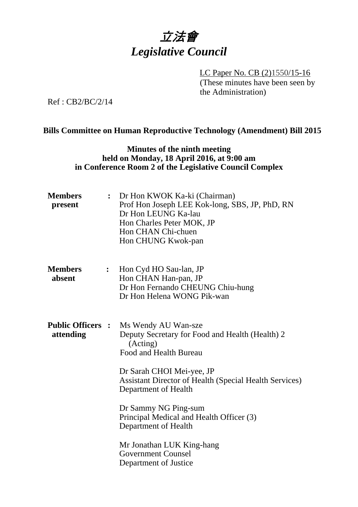

LC Paper No. CB (2)1550/15-16 (These minutes have been seen by the Administration)

Ref : CB2/BC/2/14

# **Bills Committee on Human Reproductive Technology (Amendment) Bill 2015**

## **Minutes of the ninth meeting held on Monday, 18 April 2016, at 9:00 am in Conference Room 2 of the Legislative Council Complex**

| <b>Members</b><br>present             | $\ddot{\cdot}$ | Dr Hon KWOK Ka-ki (Chairman)<br>Prof Hon Joseph LEE Kok-long, SBS, JP, PhD, RN<br>Dr Hon LEUNG Ka-lau<br>Hon Charles Peter MOK, JP<br>Hon CHAN Chi-chuen<br>Hon CHUNG Kwok-pan |
|---------------------------------------|----------------|--------------------------------------------------------------------------------------------------------------------------------------------------------------------------------|
| <b>Members</b><br>absent              | $\ddot{\cdot}$ | Hon Cyd HO Sau-lan, JP<br>Hon CHAN Han-pan, JP<br>Dr Hon Fernando CHEUNG Chiu-hung<br>Dr Hon Helena WONG Pik-wan                                                               |
| <b>Public Officers :</b><br>attending |                | Ms Wendy AU Wan-sze<br>Deputy Secretary for Food and Health (Health) 2<br>(Acting)<br>Food and Health Bureau                                                                   |
|                                       |                | Dr Sarah CHOI Mei-yee, JP<br><b>Assistant Director of Health (Special Health Services)</b><br>Department of Health                                                             |
|                                       |                | Dr Sammy NG Ping-sum<br>Principal Medical and Health Officer (3)<br>Department of Health                                                                                       |
|                                       |                | Mr Jonathan LUK King-hang<br><b>Government Counsel</b><br>Department of Justice                                                                                                |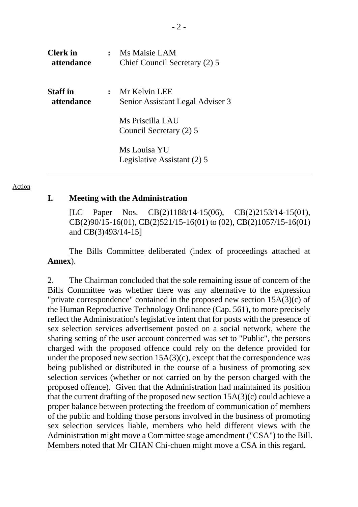| <b>Clerk</b> in<br><b>attendance</b> |              | Ms Maisie LAM<br>Chief Council Secretary (2) 5    |
|--------------------------------------|--------------|---------------------------------------------------|
| <b>Staff</b> in<br><i>attendance</i> | $\mathbf{r}$ | Mr Kelvin LEE<br>Senior Assistant Legal Adviser 3 |
|                                      |              | Ms Priscilla LAU<br>Council Secretary (2) 5       |
|                                      |              | Ms Louisa YU<br>Legislative Assistant (2) 5       |

#### Action

#### **I. Meeting with the Administration**

[LC Paper Nos. CB(2)1188/14-15(06), CB(2)2153/14-15(01), CB(2)90/15-16(01), CB(2)521/15-16(01) to (02), CB(2)1057/15-16(01) and CB(3)493/14-15]

The Bills Committee deliberated (index of proceedings attached at **Annex**).

2. The Chairman concluded that the sole remaining issue of concern of the Bills Committee was whether there was any alternative to the expression "private correspondence" contained in the proposed new section 15A(3)(c) of the Human Reproductive Technology Ordinance (Cap. 561), to more precisely reflect the Administration's legislative intent that for posts with the presence of sex selection services advertisement posted on a social network, where the sharing setting of the user account concerned was set to "Public", the persons charged with the proposed offence could rely on the defence provided for under the proposed new section  $15A(3)(c)$ , except that the correspondence was being published or distributed in the course of a business of promoting sex selection services (whether or not carried on by the person charged with the proposed offence). Given that the Administration had maintained its position that the current drafting of the proposed new section  $15A(3)(c)$  could achieve a proper balance between protecting the freedom of communication of members of the public and holding those persons involved in the business of promoting sex selection services liable, members who held different views with the Administration might move a Committee stage amendment ("CSA") to the Bill. Members noted that Mr CHAN Chi-chuen might move a CSA in this regard.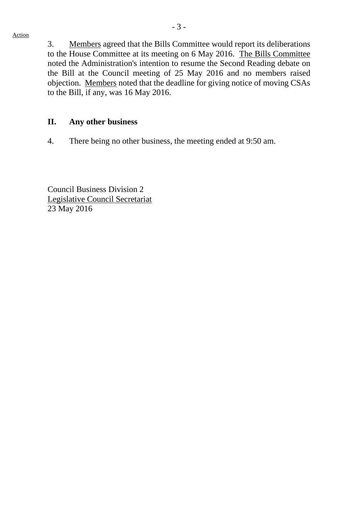3. Members agreed that the Bills Committee would report its deliberations to the House Committee at its meeting on 6 May 2016. The Bills Committee noted the Administration's intention to resume the Second Reading debate on the Bill at the Council meeting of 25 May 2016 and no members raised objection. Members noted that the deadline for giving notice of moving CSAs to the Bill, if any, was 16 May 2016.

### **II. Any other business**

4. There being no other business, the meeting ended at 9:50 am.

Council Business Division 2 Legislative Council Secretariat 23 May 2016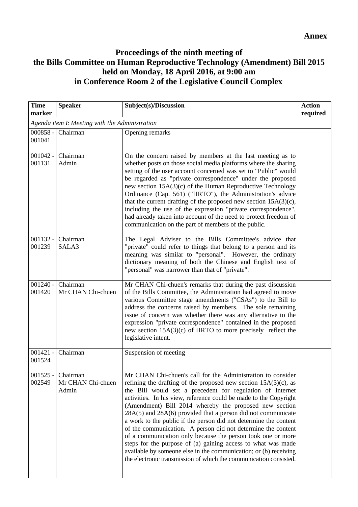## **Proceedings of the ninth meeting of the Bills Committee on Human Reproductive Technology (Amendment) Bill 2015 held on Monday, 18 April 2016, at 9:00 am in Conference Room 2 of the Legislative Council Complex**

| <b>Time</b><br>marker                          | <b>Speaker</b>                         | Subject(s)/Discussion                                                                                                                                                                                                                                                                                                                                                                                                                                                                                                                                                                                                                                                                                                                                                                                         | <b>Action</b><br>required |  |
|------------------------------------------------|----------------------------------------|---------------------------------------------------------------------------------------------------------------------------------------------------------------------------------------------------------------------------------------------------------------------------------------------------------------------------------------------------------------------------------------------------------------------------------------------------------------------------------------------------------------------------------------------------------------------------------------------------------------------------------------------------------------------------------------------------------------------------------------------------------------------------------------------------------------|---------------------------|--|
| Agenda item I: Meeting with the Administration |                                        |                                                                                                                                                                                                                                                                                                                                                                                                                                                                                                                                                                                                                                                                                                                                                                                                               |                           |  |
| $000858 -$<br>001041                           | Chairman                               | Opening remarks                                                                                                                                                                                                                                                                                                                                                                                                                                                                                                                                                                                                                                                                                                                                                                                               |                           |  |
| $001042 -$<br>001131                           | Chairman<br>Admin                      | On the concern raised by members at the last meeting as to<br>whether posts on those social media platforms where the sharing<br>setting of the user account concerned was set to "Public" would<br>be regarded as "private correspondence" under the proposed<br>new section 15A(3)(c) of the Human Reproductive Technology<br>Ordinance (Cap. 561) ("HRTO"), the Administration's advice<br>that the current drafting of the proposed new section $15A(3)(c)$ ,<br>including the use of the expression "private correspondence",<br>had already taken into account of the need to protect freedom of<br>communication on the part of members of the public.                                                                                                                                                 |                           |  |
| $001132 -$<br>001239                           | Chairman<br>SALA3                      | The Legal Adviser to the Bills Committee's advice that<br>"private" could refer to things that belong to a person and its<br>meaning was similar to "personal". However, the ordinary<br>dictionary meaning of both the Chinese and English text of<br>"personal" was narrower than that of "private".                                                                                                                                                                                                                                                                                                                                                                                                                                                                                                        |                           |  |
| $001240 -$<br>001420                           | Chairman<br>Mr CHAN Chi-chuen          | Mr CHAN Chi-chuen's remarks that during the past discussion<br>of the Bills Committee, the Administration had agreed to move<br>various Committee stage amendments ("CSAs") to the Bill to<br>address the concerns raised by members. The sole remaining<br>issue of concern was whether there was any alternative to the<br>expression "private correspondence" contained in the proposed<br>new section $15A(3)(c)$ of HRTO to more precisely reflect the<br>legislative intent.                                                                                                                                                                                                                                                                                                                            |                           |  |
| $001421 -$<br>001524                           | Chairman                               | Suspension of meeting                                                                                                                                                                                                                                                                                                                                                                                                                                                                                                                                                                                                                                                                                                                                                                                         |                           |  |
| $001525 -$<br>002549                           | Chairman<br>Mr CHAN Chi-chuen<br>Admin | Mr CHAN Chi-chuen's call for the Administration to consider<br>refining the drafting of the proposed new section $15A(3)(c)$ , as<br>the Bill would set a precedent for regulation of Internet<br>activities. In his view, reference could be made to the Copyright<br>(Amendment) Bill 2014 whereby the proposed new section<br>$28A(5)$ and $28A(6)$ provided that a person did not communicate<br>a work to the public if the person did not determine the content<br>of the communication. A person did not determine the content<br>of a communication only because the person took one or more<br>steps for the purpose of (a) gaining access to what was made<br>available by someone else in the communication; or (b) receiving<br>the electronic transmission of which the communication consisted. |                           |  |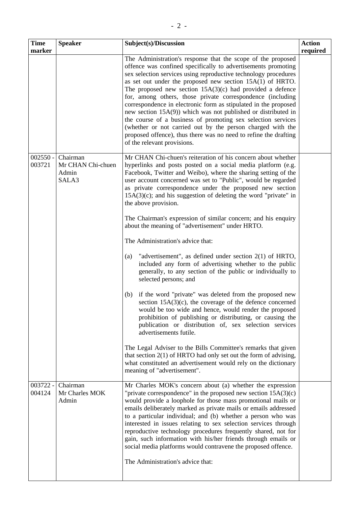| <b>Time</b><br>marker | <b>Speaker</b>                                  | Subject(s)/Discussion                                                                                                                                                                                                                                                                                                                                                                                                                                                                                                                                                                                                                                                                                                                                              | <b>Action</b><br>required |
|-----------------------|-------------------------------------------------|--------------------------------------------------------------------------------------------------------------------------------------------------------------------------------------------------------------------------------------------------------------------------------------------------------------------------------------------------------------------------------------------------------------------------------------------------------------------------------------------------------------------------------------------------------------------------------------------------------------------------------------------------------------------------------------------------------------------------------------------------------------------|---------------------------|
|                       |                                                 | The Administration's response that the scope of the proposed<br>offence was confined specifically to advertisements promoting<br>sex selection services using reproductive technology procedures<br>as set out under the proposed new section 15A(1) of HRTO.<br>The proposed new section $15A(3)(c)$ had provided a defence<br>for, among others, those private correspondence (including<br>correspondence in electronic form as stipulated in the proposed<br>new section $15A(9)$ ) which was not published or distributed in<br>the course of a business of promoting sex selection services<br>(whether or not carried out by the person charged with the<br>proposed offence), thus there was no need to refine the drafting<br>of the relevant provisions. |                           |
| $002550 -$<br>003721  | Chairman<br>Mr CHAN Chi-chuen<br>Admin<br>SALA3 | Mr CHAN Chi-chuen's reiteration of his concern about whether<br>hyperlinks and posts posted on a social media platform (e.g.<br>Facebook, Twitter and Weibo), where the sharing setting of the<br>user account concerned was set to "Public", would be regarded<br>as private correspondence under the proposed new section<br>$15A(3)(c)$ ; and his suggestion of deleting the word "private" in<br>the above provision.<br>The Chairman's expression of similar concern; and his enquiry<br>about the meaning of "advertisement" under HRTO.<br>The Administration's advice that:<br>"advertisement", as defined under section $2(1)$ of HRTO,<br>(a)<br>included any form of advertising whether to the public                                                  |                           |
|                       |                                                 | generally, to any section of the public or individually to<br>selected persons; and<br>if the word "private" was deleted from the proposed new<br>(b)<br>section $15A(3)(c)$ , the coverage of the defence concerned<br>would be too wide and hence, would render the proposed<br>prohibition of publishing or distributing, or causing the<br>publication or distribution of, sex selection services<br>advertisements futile.<br>The Legal Adviser to the Bills Committee's remarks that given<br>that section $2(1)$ of HRTO had only set out the form of advising,<br>what constituted an advertisement would rely on the dictionary<br>meaning of "advertisement".                                                                                            |                           |
| 003722 -<br>004124    | Chairman<br>Mr Charles MOK<br>Admin             | Mr Charles MOK's concern about (a) whether the expression<br>"private correspondence" in the proposed new section $15A(3)(c)$<br>would provide a loophole for those mass promotional mails or<br>emails deliberately marked as private mails or emails addressed<br>to a particular individual; and (b) whether a person who was<br>interested in issues relating to sex selection services through<br>reproductive technology procedures frequently shared, not for<br>gain, such information with his/her friends through emails or<br>social media platforms would contravene the proposed offence.<br>The Administration's advice that:                                                                                                                        |                           |